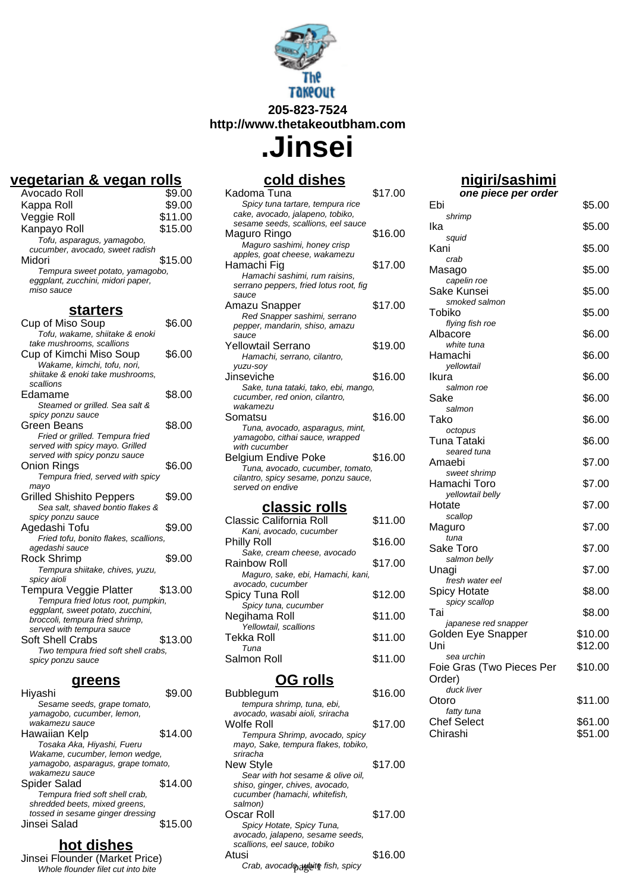

**http://www.thetakeoutbham.com**

**.Jinsei**

# **vegetarian & vegan rolls**

| Avocado Roll                      | \$9.00  |
|-----------------------------------|---------|
| Kappa Roll                        | \$9.00  |
| Veggie Roll                       | \$11.00 |
| Kanpayo Roll                      | \$15.00 |
| Tofu, asparagus, yamagobo,        |         |
| cucumber, avocado, sweet radish   |         |
| Midori                            | \$15.00 |
| Tempura sweet potato, yamagobo,   |         |
| eggplant, zucchini, midori paper, |         |
| miso sauce                        |         |

#### **starters**

| Cup of Miso Soup<br>Tofu, wakame, shiitake & enoki                                                                                   | \$6.00  |
|--------------------------------------------------------------------------------------------------------------------------------------|---------|
| take mushrooms, scallions<br>Cup of Kimchi Miso Soup<br>Wakame, kimchi, tofu, nori,<br>shiitake & enoki take mushrooms,<br>scallions | \$6.00  |
| Edamame                                                                                                                              | \$8.00  |
| Steamed or grilled. Sea salt &<br>spicy ponzu sauce                                                                                  |         |
| Green Beans<br>Fried or grilled. Tempura fried<br>served with spicy mayo. Grilled                                                    | \$8.00  |
| served with spicy ponzu sauce<br>Onion Rings<br>Tempura fried, served with spicy                                                     | \$6.00  |
| mayo<br><b>Grilled Shishito Peppers</b><br>Sea salt, shaved bontio flakes &                                                          | \$9.00  |
| spicy ponzu sauce<br>Aqedashi Tofu<br>Fried tofu, bonito flakes, scallions,                                                          | \$9.00  |
| aqedashi sauce<br>Rock Shrimp<br>Tempura shiitake, chives, yuzu,<br>spicy aioli                                                      | \$9.00  |
| Tempura Veggie Platter<br>Tempura fried lotus root, pumpkin,<br>eggplant, sweet potato, zucchini,<br>broccoli, tempura fried shrimp, | \$13.00 |
| served with tempura sauce<br>Soft Shell Crabs<br>Two tempura fried soft shell crabs,<br>spicy ponzu sauce                            | \$13.00 |

#### **greens**

| Hiyashi                            | \$9.00  |
|------------------------------------|---------|
| Sesame seeds, grape tomato,        |         |
| yamaqobo, cucumber, lemon,         |         |
| wakamezu sauce                     |         |
| Hawaiian Kelp                      | \$14.00 |
| Tosaka Aka, Hiyashi, Fueru         |         |
| Wakame, cucumber, lemon wedge,     |         |
| yamagobo, asparagus, grape tomato, |         |
| wakamezu sauce                     |         |
| Spider Salad                       | \$14.00 |
| Tempura fried soft shell crab,     |         |
| shredded beets, mixed greens,      |         |
| tossed in sesame ginger dressing   |         |
| Jinsei Salad                       | \$15.00 |
|                                    |         |

#### **hot dishes**

Jinsei Flounder (Market Price) Whole flounder filet cut into bite

## **cold dishes**

| Kadoma Tuna                            | \$17.00 |
|----------------------------------------|---------|
| Spicy tuna tartare, tempura rice       |         |
| cake, avocado, jalapeno, tobiko,       |         |
| sesame seeds, scallions, eel sauce     |         |
| Maguro Ringo                           | \$16.00 |
| Maguro sashimi, honey crisp            |         |
| apples, goat cheese, wakamezu          |         |
| Hamachi Fig                            | \$17.00 |
| Hamachi sashimi, rum raisins,          |         |
| serrano peppers, fried lotus root, fig |         |
| sauce                                  |         |
| Amazu Snapper                          | \$17.00 |
| Red Snapper sashimi, serrano           |         |
| pepper, mandarin, shiso, amazu         |         |
| sauce                                  |         |
| Yellowtail Serrano                     | \$19.00 |
| Hamachi, serrano, cilantro,            |         |
| yuzu-soy                               |         |
| Jinseviche                             | \$16.00 |
| Sake, tuna tataki, tako, ebi, mango,   |         |
| cucumber, red onion, cilantro,         |         |
| wakamezu                               |         |
| Somatsu                                | \$16.00 |
| Tuna, avocado, asparagus, mint,        |         |
| yamagobo, cithai sauce, wrapped        |         |
| with cucumber                          |         |
| Belgium Endive Poke                    | \$16.00 |
| Tuna, avocado, cucumber, tomato,       |         |
| cilantro, spicy sesame, ponzu sauce,   |         |
| served on endive                       |         |
|                                        |         |

## **classic rolls**

| Classic California Roll           | \$11.00 |
|-----------------------------------|---------|
| Kani, avocado, cucumber           |         |
| Philly Roll                       | \$16.00 |
| Sake, cream cheese, avocado       |         |
| Rainbow Roll                      | \$17.00 |
| Maguro, sake, ebi, Hamachi, kani, |         |
| avocado, cucumber                 |         |
| Spicy Tuna Roll                   | \$12.00 |
| Spicy tuna, cucumber              |         |
| Negihama Roll                     | \$11.00 |
| Yellowtail, scallions             |         |
| Tekka Roll                        | \$11.00 |
| Tuna                              |         |
| Salmon Roll                       | \$11.00 |
|                                   |         |

### **OG rolls**

| Bubblegum                           | \$16.00 |
|-------------------------------------|---------|
| tempura shrimp, tuna, ebi,          |         |
| avocado, wasabi aioli, sriracha     |         |
| Wolfe Roll                          | \$17.00 |
| Tempura Shrimp, avocado, spicy      |         |
| mayo, Sake, tempura flakes, tobiko, |         |
| sriracha                            |         |
| New Style                           | \$17.00 |
| Sear with hot sesame & olive oil,   |         |
| shiso, ginger, chives, avocado,     |         |
| cucumber (hamachi, whitefish,       |         |
| salmon)                             |         |
| Oscar Roll                          | \$17.00 |
| Spicy Hotate, Spicy Tuna,           |         |
| avocado, jalapeno, sesame seeds,    |         |
| scallions, eel sauce, tobiko        |         |
| Atusi                               | \$16.00 |
| Crab, avocad pawbite fish, spicy    |         |
|                                     |         |

# **nigiri/sashimi**

| one piece per order                     |         |
|-----------------------------------------|---------|
| Ebi                                     | \$5.00  |
| shrimp<br>Ika                           | \$5.00  |
| squid<br>Kani                           | \$5.00  |
| crab<br>Masago                          | \$5.00  |
| capelin roe<br>Sake Kunsei              | \$5.00  |
| smoked salmon                           |         |
| Tobiko<br>flying fish roe               | \$5.00  |
| Albacore<br>white tuna                  | \$6.00  |
| Hamachi<br>yellowtail                   | \$6.00  |
| Ikura                                   | \$6.00  |
| salmon roe<br>Sake                      | \$6.00  |
| salmon<br>Tako                          | \$6.00  |
| octopus<br>Tuna Tataki                  | \$6.00  |
| seared tuna                             |         |
| Amaebi<br>sweet shrimp                  | \$7.00  |
| Hamachi Toro<br>yellowtail belly        | \$7.00  |
| Hotate<br>scallop                       | \$7.00  |
| Maguro<br>tuna                          | \$7.00  |
| Sake Toro                               | \$7.00  |
| salmon belly<br>Unagi                   | \$7.00  |
| fresh water eel<br><b>Spicy Hotate</b>  | \$8.00  |
| spicy scallop<br>Tai                    | \$8.00  |
| japanese red snapper                    | \$10.00 |
| Golden Eye Snapper<br>Uni               | \$12.00 |
| sea urchin<br>Foie Gras (Two Pieces Per | \$10.00 |
| Order)<br>duck liver                    |         |
| Otoro                                   | \$11.00 |
| fatty tuna<br><b>Chef Select</b>        | \$61.00 |
| Chirashi                                | \$51.00 |